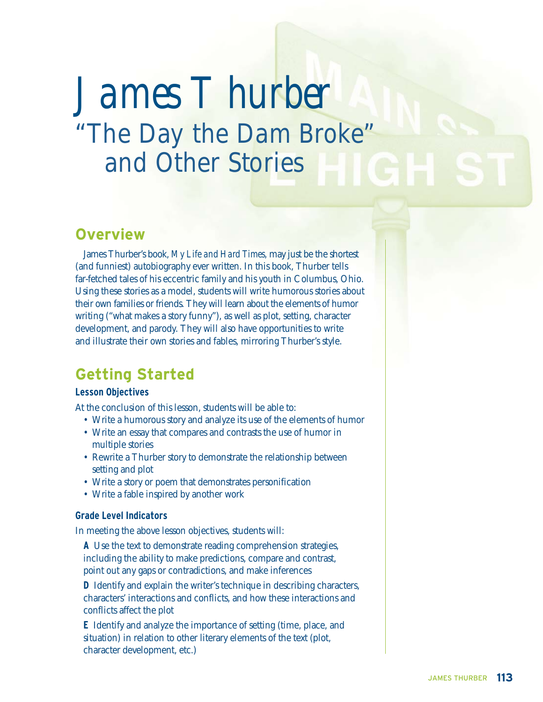# *James T hurber* "The Day the Dam Broke" and Other Stories

## **Overview**

James Thurber's book, *My Life and Hard Times,* may just be the shortest (and funniest) autobiography ever written. In this book, Thurber tells far-fetched tales of his eccentric family and his youth in Columbus, Ohio. Using these stories as a model, students will write humorous stories about their own families or friends. They will learn about the elements of humor writing ("what makes a story funny"), as well as plot, setting, character development, and parody. They will also have opportunities to write and illustrate their own stories and fables, mirroring Thurber's style.

# **Getting Started**

## **Lesson Objectives**

At the conclusion of this lesson, students will be able to:

- Write a humorous story and analyze its use of the elements of humor
- Write an essay that compares and contrasts the use of humor in multiple stories
- Rewrite a Thurber story to demonstrate the relationship between setting and plot
- Write a story or poem that demonstrates personification
- Write a fable inspired by another work

## **Grade Level Indicators**

In meeting the above lesson objectives, students will:

**A** Use the text to demonstrate reading comprehension strategies, including the ability to make predictions, compare and contrast, point out any gaps or contradictions, and make inferences

**D** Identify and explain the writer's technique in describing characters, characters' interactions and conflicts, and how these interactions and conflicts affect the plot

**E** Identify and analyze the importance of setting (time, place, and situation) in relation to other literary elements of the text (plot, character development, etc.)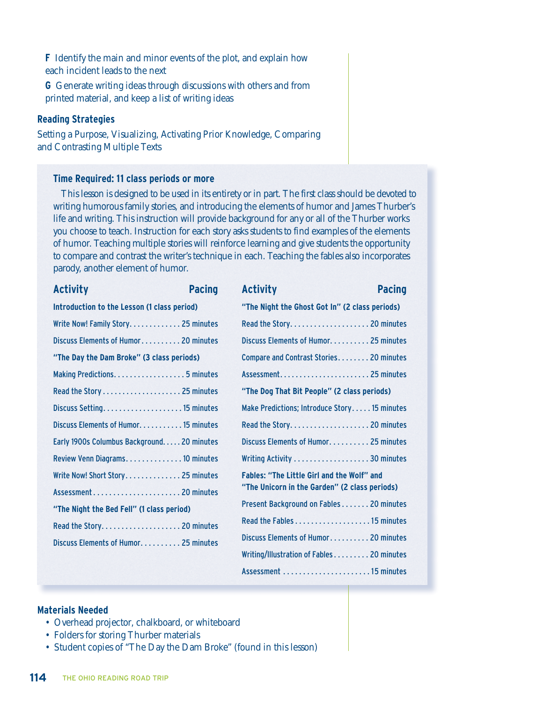**F** Identify the main and minor events of the plot, and explain how each incident leads to the next

**G** Generate writing ideas through discussions with others and from printed material, and keep a list of writing ideas

#### **Reading Strategies**

Setting a Purpose, Visualizing, Activating Prior Knowledge, Comparing and Contrasting Multiple Texts

#### **Time Required: 11 class periods or more**

This lesson is designed to be used in its entirety or in part. The first class should be devoted to writing humorous family stories, and introducing the elements of humor and James Thurber's life and writing. This instruction will provide background for any or all of the Thurber works you choose to teach. Instruction for each story asks students to find examples of the elements of humor. Teaching multiple stories will reinforce learning and give students the opportunity to compare and contrast the writer's technique in each. Teaching the fables also incorporates parody, another element of humor.

| <b>Activity</b>                             | <b>Pacing</b> | <b>Activity</b>                                   | <b>Pacing</b> |
|---------------------------------------------|---------------|---------------------------------------------------|---------------|
| Introduction to the Lesson (1 class period) |               | "The Night the Ghost Got In" (2 class periods)    |               |
| Write Now! Family Story 25 minutes          |               | Read the Story 20 minutes                         |               |
| Discuss Elements of Humor 20 minutes        |               | Discuss Elements of Humor 25 minutes              |               |
| "The Day the Dam Broke" (3 class periods)   |               | Compare and Contrast Stories 20 minutes           |               |
| Making Predictions. 5 minutes               |               |                                                   |               |
| Read the Story  25 minutes                  |               | "The Dog That Bit People" (2 class periods)       |               |
| Discuss Setting 15 minutes                  |               | Make Predictions; Introduce Story 15 minutes      |               |
| Discuss Elements of Humor. 15 minutes       |               | Read the Story 20 minutes                         |               |
| Early 1900s Columbus Background 20 minutes  |               | Discuss Elements of Humor. 25 minutes             |               |
| Review Venn Diagrams. 10 minutes            |               | Writing Activity 30 minutes                       |               |
| Write Now! Short Story 25 minutes           |               | <b>Fables: "The Little Girl and the Wolf" and</b> |               |
|                                             |               | "The Unicorn in the Garden" (2 class periods)     |               |
| "The Night the Bed Fell" (1 class period)   |               | Present Background on Fables 20 minutes           |               |
| Read the Story 20 minutes                   |               |                                                   |               |
| Discuss Elements of Humor. 25 minutes       |               | Discuss Elements of Humor 20 minutes              |               |
|                                             |               | Writing/Illustration of Fables 20 minutes         |               |
|                                             |               |                                                   |               |

Assessment . . . . . . . . . . . . . . . . . . . . . . 15 minutes

#### **Materials Needed**

- Overhead projector, chalkboard, or whiteboard
- Folders for storing Thurber materials
- Student copies of "The Day the Dam Broke" (found in this lesson)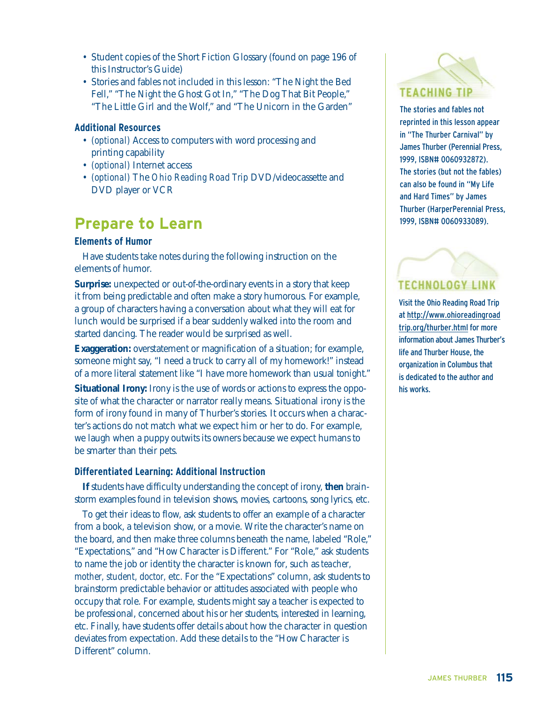- Student copies of the Short Fiction Glossary (found on page 196 of this Instructor's Guide)
- Stories and fables not included in this lesson: "The Night the Bed Fell," "The Night the Ghost Got In," "The Dog That Bit People," "The Little Girl and the Wolf," and "The Unicorn in the Garden"

### **Additional Resources**

- *(optional)* Access to computers with word processing and printing capability
- *(optional)* Internet access
- *(optional)* The *Ohio Reading Road Trip* DVD/videocassette and DVD player or VCR

# **Prepare to Learn**

#### **Elements of Humor**

Have students take notes during the following instruction on the elements of humor.

**Surprise:** unexpected or out-of-the-ordinary events in a story that keep it from being predictable and often make a story humorous. For example, a group of characters having a conversation about what they will eat for lunch would be surprised if a bear suddenly walked into the room and started dancing. The reader would be surprised as well.

**Exaggeration:** overstatement or magnification of a situation; for example, someone might say, "I need a truck to carry all of my homework!" instead of a more literal statement like "I have more homework than usual tonight."

**Situational Irony:** Irony is the use of words or actions to express the opposite of what the character or narrator really means. Situational irony is the form of irony found in many of Thurber's stories. It occurs when a character's actions do not match what we expect him or her to do. For example, we laugh when a puppy outwits its owners because we expect humans to be smarter than their pets.

## **Differentiated Learning: Additional Instruction**

**If** students have difficulty understanding the concept of irony, **then** brainstorm examples found in television shows, movies, cartoons, song lyrics, etc.

To get their ideas to flow, ask students to offer an example of a character from a book, a television show, or a movie. Write the character's name on the board, and then make three columns beneath the name, labeled "Role," "Expectations," and "How Character is Different." For "Role," ask students to name the job or identity the character is known for, such as *teacher, mother, student, doctor,* etc. For the "Expectations" column, ask students to brainstorm predictable behavior or attitudes associated with people who occupy that role. For example, students might say a teacher is expected to be professional, concerned about his or her students, interested in learning, etc. Finally, have students offer details about how the character in question deviates from expectation. Add these details to the "How Character is Different" column.



The stories and fables not reprinted in this lesson appear in "The Thurber Carnival" by James Thurber (Perennial Press, 1999, ISBN# 0060932872). The stories (but not the fables) can also be found in "My Life and Hard Times" by James Thurber (HarperPerennial Press, 1999, ISBN# 0060933089).

# **TECHNOLOGY LINK**

Visit the Ohio Reading Road Trip at http://www.ohioreadingroad trip.org/thurber.html for more information about James Thurber's life and Thurber House, the organization in Columbus that is dedicated to the author and his works.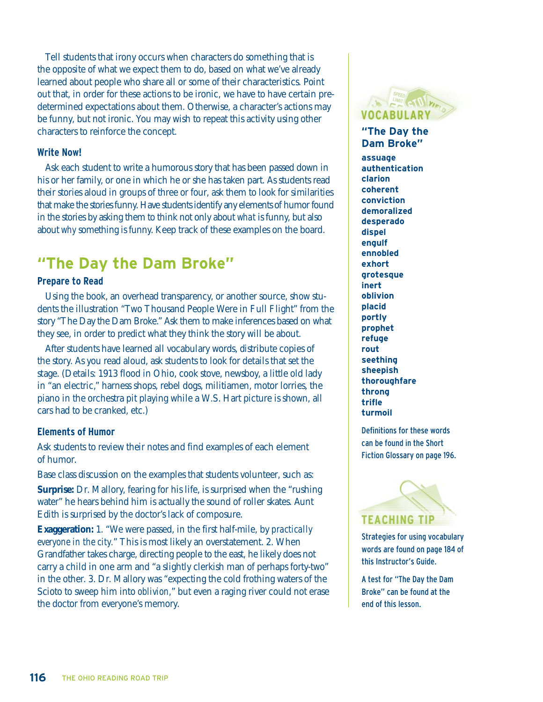Tell students that irony occurs when characters do something that is the opposite of what we expect them to do, based on what we've already learned about people who share all or some of their characteristics. Point out that, in order for these actions to be ironic, we have to have certain predetermined expectations about them. Otherwise, a character's actions may be funny, but not ironic. You may wish to repeat this activity using other characters to reinforce the concept.

#### **Write Now!**

Ask each student to write a humorous story that has been passed down in his or her family, or one in which he or she has taken part. As students read their stories aloud in groups of three or four, ask them to look for similarities that make the stories funny. Have students identify any elements of humor found in the stories by asking them to think not only about *what* is funny, but also about *why* something is funny. Keep track of these examples on the board.

# **"The Day the Dam Broke"**

### **Prepare to Read**

Using the book, an overhead transparency, or another source, show students the illustration "Two Thousand People Were in Full Flight" from the story "The Day the Dam Broke." Ask them to make inferences based on what they see, in order to predict what they think the story will be about.

After students have learned all vocabulary words, distribute copies of the story. As you read aloud, ask students to look for details that set the stage. (Details: 1913 flood in Ohio, cook stove, newsboy, a little old lady in "an electric," harness shops, rebel dogs, militiamen, motor lorries, the piano in the orchestra pit playing while a W.S. Hart picture is shown, all cars had to be cranked, etc.)

#### **Elements of Humor**

Ask students to review their notes and find examples of each element of humor.

Base class discussion on the examples that students volunteer, such as:

**Surprise:** Dr. Mallory, fearing for his life, is surprised when the "rushing water" he hears behind him is actually the sound of roller skates. Aunt Edith is surprised by the doctor's lack of composure.

**Exaggeration:** 1. "We were passed, in the first half-mile, by *practically everyone in the city.*" This is most likely an overstatement. 2. When Grandfather takes charge, directing people to the east, he likely does not carry a child in one arm and "a slightly clerkish man of perhaps forty-two" in the other. 3. Dr. Mallory was "expecting the cold frothing waters of the Scioto to sweep him into *oblivion,*" but even a raging river could not erase the doctor from everyone's memory.



**"The Day the Dam Broke" assuage authentication clarion coherent conviction demoralized desperado dispel engulf ennobled exhort grotesque inert oblivion placid portly prophet refuge rout seething sheepish thoroughfare throng trifle turmoil** 

Definitions for these words can be found in the Short Fiction Glossary on page 196.

# **TEACHING TIP**

Strategies for using vocabulary words are found on page 184 of this Instructor's Guide.

A test for "The Day the Dam Broke" can be found at the end of this lesson.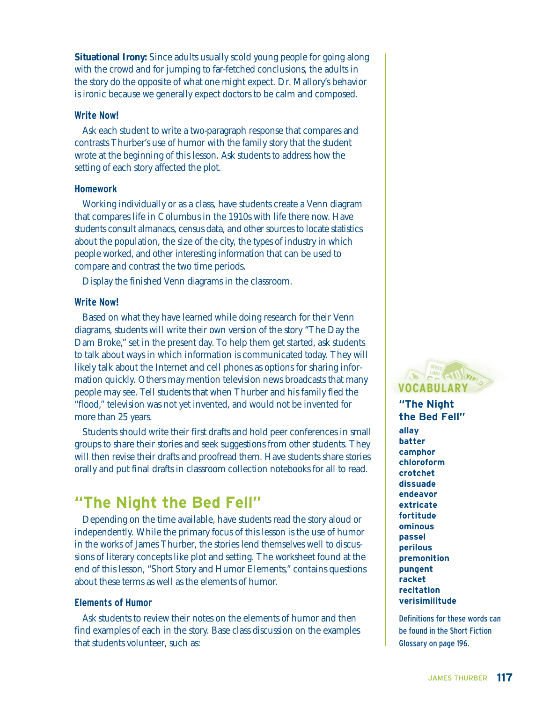**Situational Irony:** Since adults usually scold young people for going along with the crowd and for jumping to far-fetched conclusions, the adults in the story do the opposite of what one might expect. Dr. Mallory's behavior is ironic because we generally expect doctors to be calm and composed.

#### **Write Now!**

Ask each student to write a two-paragraph response that compares and contrasts Thurber's use of humor with the family story that the student wrote at the beginning of this lesson. Ask students to address how the setting of each story affected the plot.

#### **Homework**

Working individually or as a class, have students create a Venn diagram that compares life in Columbus in the 1910s with life there now. Have students consult almanacs, census data, and other sources to locate statistics about the population, the size of the city, the types of industry in which people worked, and other interesting information that can be used to compare and contrast the two time periods.

Display the finished Venn diagrams in the classroom.

#### **Write Now!**

Based on what they have learned while doing research for their Venn diagrams, students will write their own version of the story "The Day the Dam Broke," set in the present day. To help them get started, ask students to talk about ways in which information is communicated today. They will likely talk about the Internet and cell phones as options for sharing information quickly. Others may mention television news broadcasts that many people may see. Tell students that when Thurber and his family fled the "flood," television was not yet invented, and would not be invented for more than 25 years.

Students should write their first drafts and hold peer conferences in small groups to share their stories and seek suggestions from other students. They will then revise their drafts and proofread them. Have students share stories orally and put final drafts in classroom collection notebooks for all to read.

# **"The Night the Bed Fell"**

Depending on the time available, have students read the story aloud or independently. While the primary focus of this lesson is the use of humor in the works of James Thurber, the stories lend themselves well to discussions of literary concepts like plot and setting. The worksheet found at the end of this lesson, "Short Story and Humor Elements," contains questions about these terms as well as the elements of humor.

#### **Elements of Humor**

Ask students to review their notes on the elements of humor and then find examples of each in the story. Base class discussion on the examples that students volunteer, such as:



## **"The Night the Bed Fell"**

**allay batter camphor chloroform crotchet dissuade endeavor extricate fortitude ominous passel perilous premonition pungent racket recitation verisimilitude** 

Definitions for these words can be found in the Short Fiction Glossary on page 196.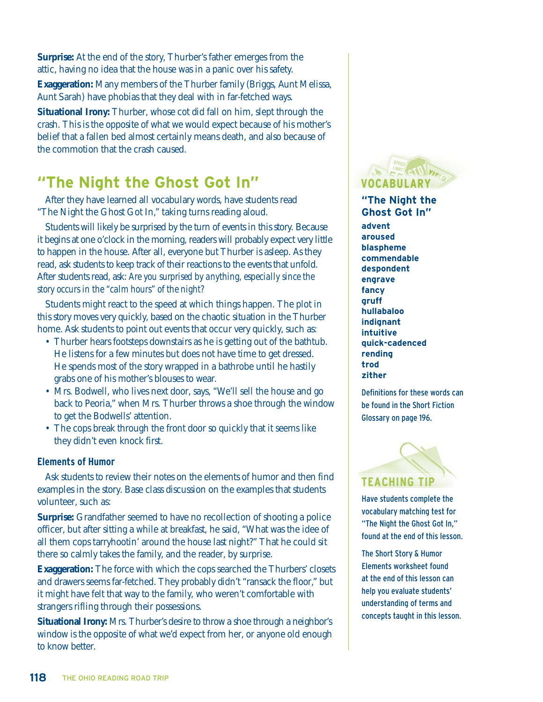**Surprise:** At the end of the story, Thurber's father emerges from the attic, having no idea that the house was in a panic over his safety.

**Exaggeration:** Many members of the Thurber family (Briggs, Aunt Melissa, Aunt Sarah) have phobias that they deal with in far-fetched ways.

**Situational Irony:** Thurber, whose cot did fall on him, slept through the crash. This is the opposite of what we would expect because of his mother's belief that a fallen bed almost certainly means death, and also because of the commotion that the crash caused.

# **"The Night the Ghost Got In"**

After they have learned all vocabulary words, have students read "The Night the Ghost Got In," taking turns reading aloud.

Students will likely be surprised by the turn of events in this story. Because it begins at one o'clock in the morning, readers will probably expect very little to happen in the house. After all, everyone but Thurber is asleep. As they read, ask students to keep track of their reactions to the events that unfold. After students read, ask: *Are you surprised by anything, especially since the story occurs in the "calm hours" of the night?*

Students might react to the speed at which things happen. The plot in this story moves very quickly, based on the chaotic situation in the Thurber home. Ask students to point out events that occur very quickly, such as:

- Thurber hears footsteps downstairs as he is getting out of the bathtub. He listens for a few minutes but does not have time to get dressed. He spends most of the story wrapped in a bathrobe until he hastily grabs one of his mother's blouses to wear.
- Mrs. Bodwell, who lives next door, says, "We'll sell the house and go back to Peoria," when Mrs. Thurber throws a shoe through the window to get the Bodwells' attention.
- The cops break through the front door so quickly that it seems like they didn't even knock first.

## **Elements of Humor**

Ask students to review their notes on the elements of humor and then find examples in the story. Base class discussion on the examples that students volunteer, such as:

**Surprise:** Grandfather seemed to have no recollection of shooting a police officer, but after sitting a while at breakfast, he said, "What was the idee of all them cops tarryhootin' around the house last night?" That he could sit there so calmly takes the family, and the reader, by surprise.

**Exaggeration:** The force with which the cops searched the Thurbers' closets and drawers seems far-fetched. They probably didn't "ransack the floor," but it might have felt that way to the family, who weren't comfortable with strangers rifling through their possessions.

**Situational Irony:** Mrs. Thurber's desire to throw a shoe through a neighbor's window is the opposite of what we'd expect from her, or anyone old enough to know better.



**"The Night the Ghost Got In" advent aroused blaspheme commendable despondent engrave fancy gruff hullabaloo indignant intuitive quick-cadenced rending trod zither** 

Definitions for these words can be found in the Short Fiction Glossary on page 196.



Have students complete the vocabulary matching test for "The Night the Ghost Got In," found at the end of this lesson.

The Short Story & Humor Elements worksheet found at the end of this lesson can help you evaluate students' understanding of terms and concepts taught in this lesson.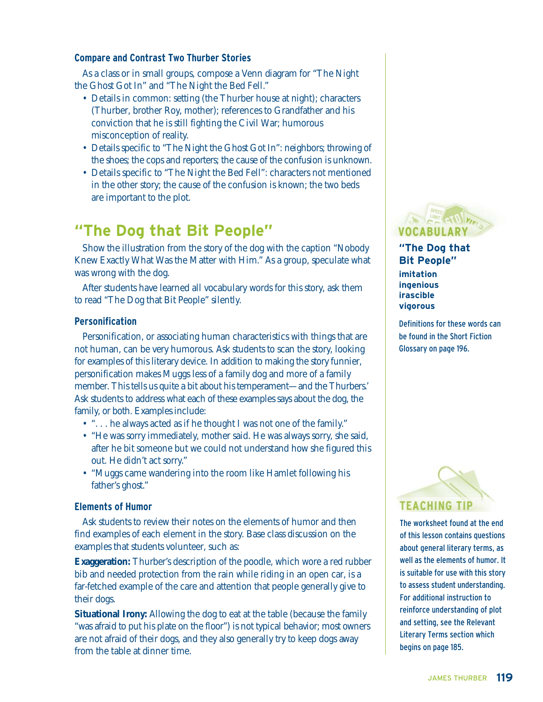## **Compare and Contrast Two Thurber Stories**

As a class or in small groups, compose a Venn diagram for "The Night the Ghost Got In" and "The Night the Bed Fell."

- Details in common: setting (the Thurber house at night); characters (Thurber, brother Roy, mother); references to Grandfather and his conviction that he is still fighting the Civil War; humorous misconception of reality.
- Details specific to "The Night the Ghost Got In": neighbors; throwing of the shoes; the cops and reporters; the cause of the confusion is unknown.
- Details specific to "The Night the Bed Fell": characters not mentioned in the other story; the cause of the confusion is known; the two beds are important to the plot.

# **"The Dog that Bit People"**

Show the illustration from the story of the dog with the caption "Nobody Knew Exactly What Was the Matter with Him." As a group, speculate what was wrong with the dog.

After students have learned all vocabulary words for this story, ask them to read "The Dog that Bit People" silently.

### **Personification**

Personification, or associating human characteristics with things that are not human, can be very humorous. Ask students to scan the story, looking for examples of this literary device. In addition to making the story funnier, personification makes Muggs less of a family dog and more of a family member. This tells us quite a bit about his temperament—and the Thurbers.' Ask students to address what each of these examples says about the dog, the family, or both. Examples include:

- "... he always acted as if he thought I was not one of the family."
- "He was sorry immediately, mother said. He was always sorry, she said, after he bit someone but we could not understand how she figured this out. He didn't act sorry."
- "Muggs came wandering into the room like Hamlet following his father's ghost."

#### **Elements of Humor**

Ask students to review their notes on the elements of humor and then find examples of each element in the story. Base class discussion on the examples that students volunteer, such as:

**Exaggeration:** Thurber's description of the poodle, which wore a red rubber bib and needed protection from the rain while riding in an open car, is a far-fetched example of the care and attention that people generally give to their dogs.

**Situational Irony:** Allowing the dog to eat at the table (because the family "was afraid to put his plate on the floor") is not typical behavior; most owners are not afraid of their dogs, and they also generally try to keep dogs away from the table at dinner time.



**"The Dog that Bit People" imitation ingenious irascible vigorous** 

Definitions for these words can be found in the Short Fiction Glossary on page 196.



The worksheet found at the end of this lesson contains questions about general literary terms, as well as the elements of humor. It is suitable for use with this story to assess student understanding. For additional instruction to reinforce understanding of plot and setting, see the Relevant Literary Terms section which begins on page 185.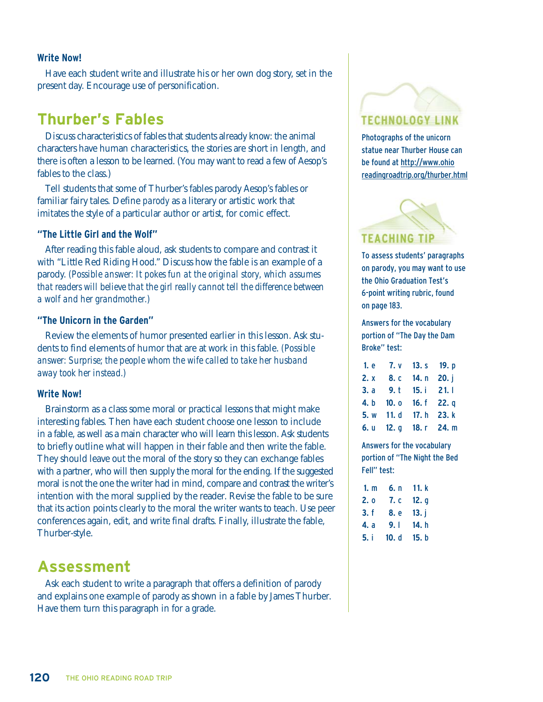#### **Write Now!**

Have each student write and illustrate his or her own dog story, set in the present day. Encourage use of personification.

## **Thurber's Fables**

Discuss characteristics of fables that students already know: the animal characters have human characteristics, the stories are short in length, and there is often a lesson to be learned. (You may want to read a few of Aesop's fables to the class.)

Tell students that some of Thurber's fables parody Aesop's fables or familiar fairy tales. Define *parody* as a literary or artistic work that imitates the style of a particular author or artist, for comic effect.

## **"The Little Girl and the Wolf"**

After reading this fable aloud, ask students to compare and contrast it with "Little Red Riding Hood." Discuss how the fable is an example of a parody. *(Possible answer: It pokes fun at the original story, which assumes that readers will believe that the girl really cannot tell the difference between a wolf and her grandmother.)*

#### **"The Unicorn in the Garden"**

Review the elements of humor presented earlier in this lesson. Ask students to find elements of humor that are at work in this fable. *(Possible answer: Surprise; the people whom the wife called to take her husband away took her instead.)*

#### **Write Now!**

Brainstorm as a class some moral or practical lessons that might make interesting fables. Then have each student choose one lesson to include in a fable, as well as a main character who will learn this lesson. Ask students to briefly outline what will happen in their fable and then write the fable. They should leave out the moral of the story so they can exchange fables with a partner, who will then supply the moral for the ending. If the suggested moral is not the one the writer had in mind, compare and contrast the writer's intention with the moral supplied by the reader. Revise the fable to be sure that its action points clearly to the moral the writer wants to teach. Use peer conferences again, edit, and write final drafts. Finally, illustrate the fable, Thurber-style.

## **Assessment**

Ask each student to write a paragraph that offers a definition of parody and explains one example of parody as shown in a fable by James Thurber. Have them turn this paragraph in for a grade.



Photographs of the unicorn statue near Thurber House can be found at http://www.ohio readingroadtrip.org/thurber.html



To assess students' paragraphs on parody, you may want to use the Ohio Graduation Test's 6-point writing rubric, found on page 183.

Answers for the vocabulary portion of "The Day the Dam Broke" test:

| 1. e 7. v 13. s 19. p  |  |
|------------------------|--|
| 2. x 8. c 14. n 20. j  |  |
| 3. a 9. t 15. i 21. l  |  |
| 4. b 10. o 16. f 22. q |  |
| 5. w 11. d 17. h 23. k |  |
| 6. u 12. g 18. r 24. m |  |

Answers for the vocabulary portion of "The Night the Bed Fell" test:

| 1. m | 6. n  | 11. k |
|------|-------|-------|
| 2. o | 7. c  | 12. q |
| 3. f | 8. e  | 13. i |
| 4. a | 9.1   | 14. h |
| 5. i | 10. d | 15. b |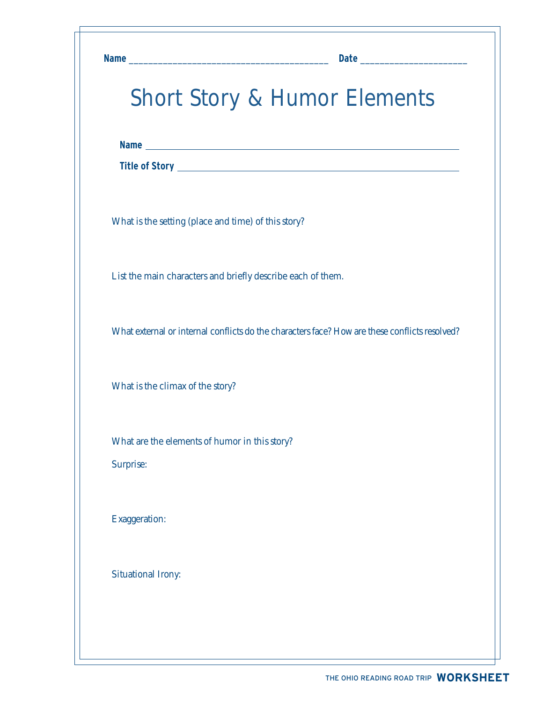|                                                     | <b>Short Story &amp; Humor Elements</b>                                                       |
|-----------------------------------------------------|-----------------------------------------------------------------------------------------------|
|                                                     |                                                                                               |
|                                                     |                                                                                               |
| What is the setting (place and time) of this story? |                                                                                               |
|                                                     | List the main characters and briefly describe each of them.                                   |
|                                                     | What external or internal conflicts do the characters face? How are these conflicts resolved? |
| What is the climax of the story?                    |                                                                                               |
| What are the elements of humor in this story?       |                                                                                               |
| Surprise:                                           |                                                                                               |
| Exaggeration:                                       |                                                                                               |
| <b>Situational Irony:</b>                           |                                                                                               |

٦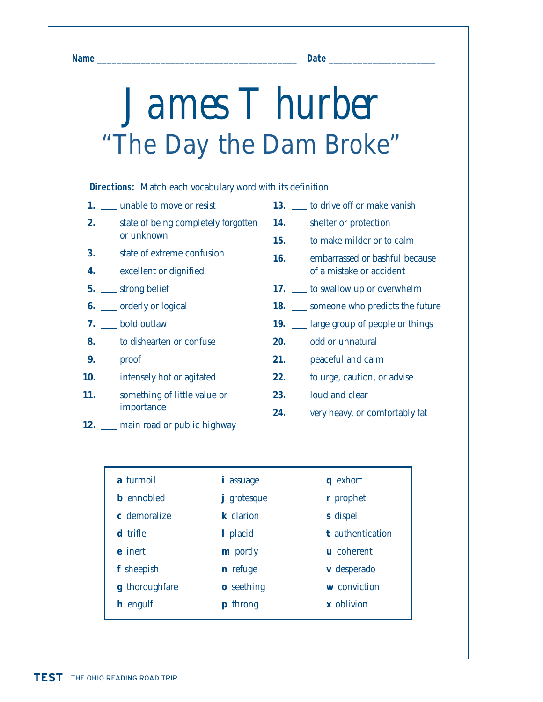**Name** \_\_\_\_\_\_\_\_\_\_\_\_\_\_\_\_\_\_\_\_\_\_\_\_\_\_\_\_\_\_\_\_\_\_\_\_\_\_\_\_\_ **Date** \_\_\_\_\_\_\_\_\_\_\_\_\_\_\_\_\_\_\_\_\_\_

# *James T hurber* "The Day the Dam Broke"

**Directions:** Match each vocabulary word with its definition.

- **1.** <u>I</u> unable to move or resist
- **2.** \_\_ state of being completely forgotten or unknown
- **3.** State of extreme confusion
- **4.** <u>conservation</u> excellent or dignified
- **5.** \_\_ strong belief
- **6.** \_\_ orderly or logical
- **7.** bold outlaw
- **8.** to dishearten or confuse
- **9.** proof
- **10.** intensely hot or agitated
- 11. something of little value or importance
- **12.** main road or public highway
- 13. \_\_ to drive off or make vanish
- 14. \_\_ shelter or protection
- **15.** to make milder or to calm
- 16. **Exercise** embarrassed or bashful because of a mistake or accident
- **17.** to swallow up or overwhelm
- **18.** \_\_ someone who predicts the future
- **19.** large group of people or things
- 20. odd or unnatural
- **21.** peaceful and calm
- **22.** \_\_\_ to urge, caution, or advise
- **23.** loud and clear
- **24.** \_\_ very heavy, or comfortably fat

| <i>i</i> assuage  | q exhort          |
|-------------------|-------------------|
| grotesque<br>Ť    | r prophet         |
| k clarion         | s dispel          |
| 1 placid          | t authentication  |
| <b>m</b> portly   | <b>u</b> coherent |
| n refuge          | v desperado       |
| <b>o</b> seething | w conviction      |
| <b>p</b> throng   | x oblivion        |
|                   |                   |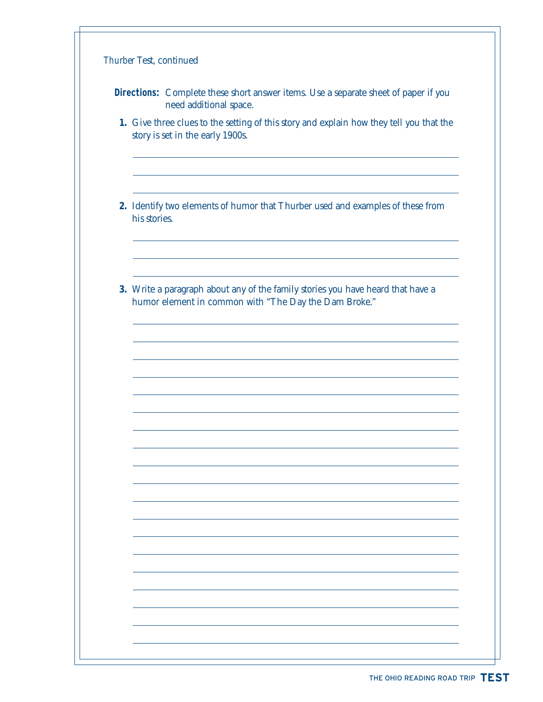|              | <b>Directions:</b> Complete these short answer items. Use a separate sheet of paper if you<br>need additional space.                     |
|--------------|------------------------------------------------------------------------------------------------------------------------------------------|
|              | 1. Give three clues to the setting of this story and explain how they tell you that the<br>story is set in the early 1900s.              |
| his stories. | 2. Identify two elements of humor that Thurber used and examples of these from                                                           |
|              | 3. Write a paragraph about any of the family stories you have heard that have a<br>humor element in common with "The Day the Dam Broke." |
|              |                                                                                                                                          |
|              |                                                                                                                                          |
|              |                                                                                                                                          |
|              |                                                                                                                                          |
|              |                                                                                                                                          |

٦